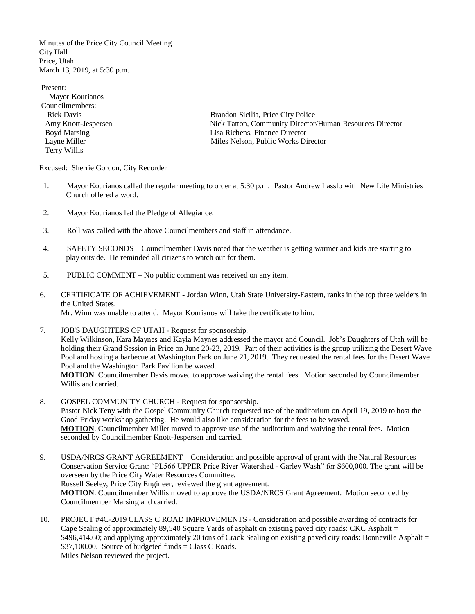Minutes of the Price City Council Meeting City Hall Price, Utah March 13, 2019, at 5:30 p.m.

Present: Mayor Kourianos Councilmembers: Terry Willis

 Rick Davis Brandon Sicilia, Price City Police Amy Knott-Jespersen Nick Tatton, Community Director/Human Resources Director Boyd Marsing **Lisa Richens, Finance Director** Layne Miller Milles Nelson, Public Works Director

Excused: Sherrie Gordon, City Recorder

- 1. Mayor Kourianos called the regular meeting to order at 5:30 p.m. Pastor Andrew Lasslo with New Life Ministries Church offered a word.
- 2. Mayor Kourianos led the Pledge of Allegiance.
- 3. Roll was called with the above Councilmembers and staff in attendance.
- 4. SAFETY SECONDS Councilmember Davis noted that the weather is getting warmer and kids are starting to play outside. He reminded all citizens to watch out for them.
- 5. PUBLIC COMMENT No public comment was received on any item.
- 6. CERTIFICATE OF ACHIEVEMENT Jordan Winn, Utah State University-Eastern, ranks in the top three welders in the United States. Mr. Winn was unable to attend. Mayor Kourianos will take the certificate to him.
- 7. JOB'S DAUGHTERS OF UTAH Request for sponsorship. Kelly Wilkinson, Kara Maynes and Kayla Maynes addressed the mayor and Council. Job's Daughters of Utah will be holding their Grand Session in Price on June 20-23, 2019. Part of their activities is the group utilizing the Desert Wave Pool and hosting a barbecue at Washington Park on June 21, 2019. They requested the rental fees for the Desert Wave Pool and the Washington Park Pavilion be waved. **MOTION**. Councilmember Davis moved to approve waiving the rental fees. Motion seconded by Councilmember Willis and carried.
- 8. GOSPEL COMMUNITY CHURCH Request for sponsorship. Pastor Nick Teny with the Gospel Community Church requested use of the auditorium on April 19, 2019 to host the Good Friday workshop gathering. He would also like consideration for the fees to be waved. **MOTION**. Councilmember Miller moved to approve use of the auditorium and waiving the rental fees. Motion seconded by Councilmember Knott-Jespersen and carried.
- 9. USDA/NRCS GRANT AGREEMENT—Consideration and possible approval of grant with the Natural Resources Conservation Service Grant: "PL566 UPPER Price River Watershed - Garley Wash" for \$600,000. The grant will be overseen by the Price City Water Resources Committee. Russell Seeley, Price City Engineer, reviewed the grant agreement. **MOTION**. Councilmember Willis moved to approve the USDA/NRCS Grant Agreement. Motion seconded by Councilmember Marsing and carried.
- 10. PROJECT #4C-2019 CLASS C ROAD IMPROVEMENTS Consideration and possible awarding of contracts for Cape Sealing of approximately 89,540 Square Yards of asphalt on existing paved city roads: CKC Asphalt = \$496,414.60; and applying approximately 20 tons of Crack Sealing on existing paved city roads: Bonneville Asphalt = \$37,100.00. Source of budgeted funds = Class C Roads. Miles Nelson reviewed the project.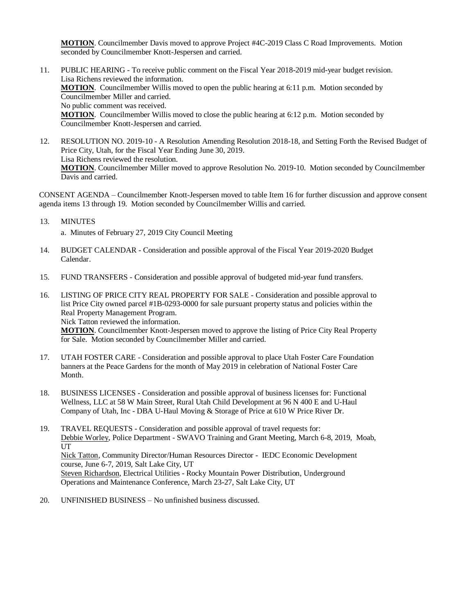**MOTION**. Councilmember Davis moved to approve Project #4C-2019 Class C Road Improvements. Motion seconded by Councilmember Knott-Jespersen and carried.

- 11. PUBLIC HEARING To receive public comment on the Fiscal Year 2018-2019 mid-year budget revision. Lisa Richens reviewed the information. **MOTION**. Councilmember Willis moved to open the public hearing at 6:11 p.m. Motion seconded by Councilmember Miller and carried. No public comment was received. **MOTION**. Councilmember Willis moved to close the public hearing at 6:12 p.m. Motion seconded by Councilmember Knott-Jespersen and carried.
- 12. RESOLUTION NO. 2019-10 A Resolution Amending Resolution 2018-18, and Setting Forth the Revised Budget of Price City, Utah, for the Fiscal Year Ending June 30, 2019. Lisa Richens reviewed the resolution. **MOTION**. Councilmember Miller moved to approve Resolution No. 2019-10. Motion seconded by Councilmember Davis and carried.

CONSENT AGENDA – Councilmember Knott-Jespersen moved to table Item 16 for further discussion and approve consent agenda items 13 through 19. Motion seconded by Councilmember Willis and carried.

13. MINUTES

a. Minutes of February 27, 2019 City Council Meeting

- 14. BUDGET CALENDAR Consideration and possible approval of the Fiscal Year 2019-2020 Budget Calendar.
- 15. FUND TRANSFERS Consideration and possible approval of budgeted mid-year fund transfers.
- 16. LISTING OF PRICE CITY REAL PROPERTY FOR SALE Consideration and possible approval to list Price City owned parcel #1B-0293-0000 for sale pursuant property status and policies within the Real Property Management Program.

Nick Tatton reviewed the information.

**MOTION**. Councilmember Knott-Jespersen moved to approve the listing of Price City Real Property for Sale. Motion seconded by Councilmember Miller and carried.

- 17. UTAH FOSTER CARE Consideration and possible approval to place Utah Foster Care Foundation banners at the Peace Gardens for the month of May 2019 in celebration of National Foster Care Month.
- 18. BUSINESS LICENSES Consideration and possible approval of business licenses for: Functional Wellness, LLC at 58 W Main Street, Rural Utah Child Development at 96 N 400 E and U-Haul Company of Utah, Inc - DBA U-Haul Moving & Storage of Price at 610 W Price River Dr.
- 19. TRAVEL REQUESTS Consideration and possible approval of travel requests for: Debbie Worley, Police Department - SWAVO Training and Grant Meeting, March 6-8, 2019, Moab, UT Nick Tatton, Community Director/Human Resources Director - IEDC Economic Development course, June 6-7, 2019, Salt Lake City, UT Steven Richardson, Electrical Utilities - Rocky Mountain Power Distribution, Underground Operations and Maintenance Conference, March 23-27, Salt Lake City, UT
- 20. UNFINISHED BUSINESS No unfinished business discussed.